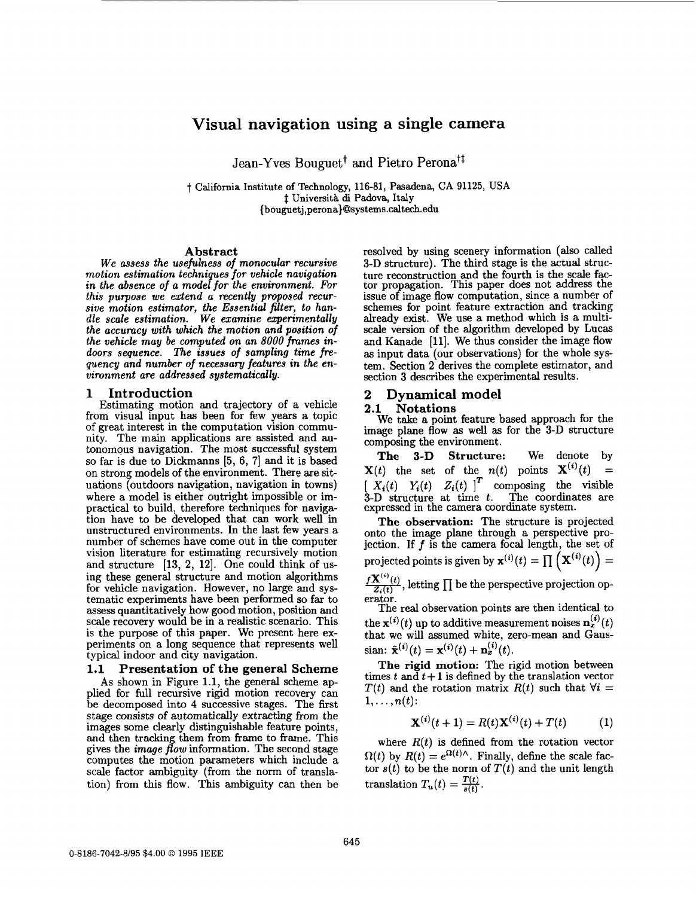## **Visual navigation using a single camera**

Jean-Yves Bouguet<sup>†</sup> and Pietro Perona<sup>†‡</sup>

t California Institute of Technology, **116-81,** Pasadena, **CA** 91125, **USA <sup>4</sup>**Universitd di Padova, Italy **[{bouguetj,perona}@lsystems.caltech.edu](mailto:bouguetj,perona}@lsystems.caltech.edu)** 

## **Abstract**

*We assess the usefulness of monocular recursive motion estimation techniques for vehicle navigation in the absence of a model for the environment.* **For**  *this purpose we extend a recently proposed recursive motion estimator, the Essential filter, to handle scale estimation. We examine experimentally the accuracy with which the motion and position of the vehicle may be computed on an 8000 fmmes indoors sequence. The issues of sampling time* fre*quency and number of necessary features in the environment are addressed systematically.* 

## **1 Introduction**

Estimating motion and trajectory of a vehicle from visual input has been for few years a topic of great interest in the computation vision community. The main applications are assisted and autonomous navigation. The most successful system so far is due to Dickmanns *[5,* 6, **71** and it is based on strong models of the environment. There are situations (outdoors navigation, navigation in towns) where a model is either outright impossible or impractical to build, therefore techniques for navigation have to be developed that can work well in unstructured environments. In the last **few** years a number of schemes have come out in the computer vision literature for estimating recursively motion and structure  $[13, 2, 12]$ . One could think of using these general structure and motion algorithms for vehicle navigation. However, no large and systematic experiments have been performed so far to assess quantitatively how good motion, position and scale recovery would be in a realistic scenario. This is the purpose of this paper. We present here experiments on a long sequence that represents well typical indoor and city navigation.

## **1.1 Presentation of the general Scheme**

**As** shown in Figure 1.1, the general scheme applied for full recursive rigid motion recovery can be decomposed into **4** successive stages. The first stage consists of automatically extracting from the images some clearly distinguishable feature points, and then tracking them from frame to frame. This gives the *image flow* information. The second stage computes the motion parameters which include a scale factor ambiguity (from the norm of translation) from this flow. This ambiguity can then be resolved by using scenery information (also called 3-D structure). The third stage is the actual structure reconstruction and the fourth is the scale factor propagation. This paper does not address the issue of image flow computation, since a number of schemes for point feature extraction and tracking already exist. We use a method which is a multiscale version of the algorithm developed by Lucas and Kanade [ll]. We thus consider the image flow **as** input data (our observations) for the whole system. Section 2 derives the complete estimator, and section **3** describes the experimental results.

# **2 Dynamical model**

## **2.1 Notations**

We take a point feature based approach for the image plane flow **as** well **as** for the 3-D structure composing the environment.

**The 3-D Structure:** We denote by  $X(t)$  the set of the  $n(t)$  points  $X^{(i)}(t)$  =  $\begin{bmatrix} X_i(t) & Y_i(t) & Z_i(t) \end{bmatrix}^T$  composing the visible 3-D structure at time *t*. The coordinates are expressed in the camera coordmate system.

**The observation:** The structure is projected onto the image plane through a perspective projection. If *f* is the camera focal length, the set of projected points is given by  $\mathbf{x}^{(i)}(t) = \prod_{i} (\mathbf{X}^{(i)}(t)) =$ 

 $\frac{f\mathbf{X}^{(i)}(t)}{Z_i(t)}$  , letting  $\prod$  be the perspective projection operator.

The real observation points are then identical to the  $\mathbf{x}^{(i)}(t)$  up to additive measurement noises  $\mathbf{n}_x^{(i)}(t)$ that we will assumed white, zero-mean and Gaussian:  $\tilde{\mathbf{x}}^{(i)}(t) = \mathbf{x}^{(i)}(t) + \mathbf{n}_x^{(i)}(t)$ .

**The rigid motion:** The rigid motion between times  $t$  and  $t+1$  is defined by the translation vector *T(t)* and the rotation matrix  $R(t)$  such that  $\forall i =$  $1,\ldots,n(t)$ :

$$
\mathbf{X}^{(i)}(t+1) = R(t)\mathbf{X}^{(i)}(t) + T(t) \tag{1}
$$

where  $R(t)$  is defined from the rotation vector  $Q(t)$  by  $R(t) = e^{\Omega(t)\wedge}$ . Finally, define the scale factor  $s(t)$  to be the norm of  $T(t)$  and the unit length translation  $T_u(t) = \frac{T(t)}{s(t)}$ .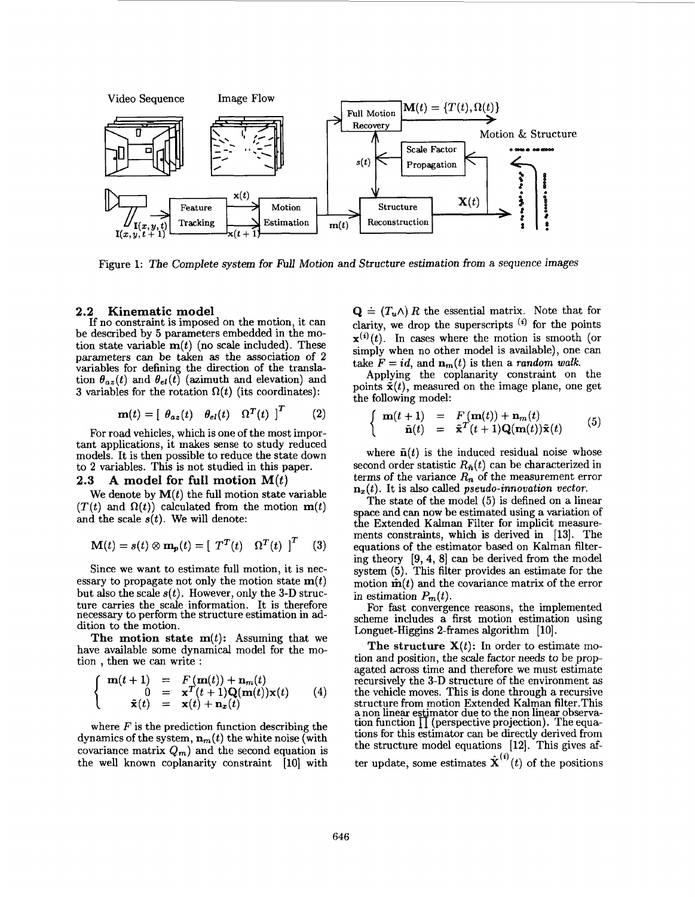

Figure **1:** The Complete system **for** *fiU* Motion and Structure estimation from a sequence images

#### **2.2 Kinematic model**

If no constraint is imposed on the motion, it can be described by *5* parameters embedded in the motion state variable  $\mathbf{m}(t)$  (no scale included). These parameters can be taken **as** the association of 2 variables for defining the direction of the translation  $\theta_{az}(t)$  and  $\theta_{el}(t)$  (azimuth and elevation) and **3** variables for the rotation  $\Omega(t)$  (its coordinates):

$$
\mathbf{m}(t) = \begin{bmatrix} \theta_{az}(t) & \theta_{el}(t) & \Omega^T(t) \end{bmatrix}^T \tag{2}
$$

For **road** vehicles, which is one of the most important applications, it makes sense to study reduced models. It is then possible to reduce the state down to **2** variables. This is not studied in this paper.

## **2.3 A model for full motion M(t)**

We denote by  $M(t)$  the full motion state variable  $(T(t)$  and  $\Omega(t)$  calculated from the motion  $m(t)$ and the scale  $s(t)$ . We will denote:

$$
\mathbf{M}(t) = s(t) \otimes \mathbf{m}_p(t) = \begin{bmatrix} T^T(t) & \Omega^T(t) \end{bmatrix}^T \quad (3)
$$

Since we want to estimate full motion, it is necessary to propagate not only the motion state  $\mathbf{m}(t)$ but also the scale  $s(t)$ . However, only the 3-D structure carries the scale information. It is therefore necessary to perform the structure estimation in **ad**dition to the motion.

The motion state  $m(t)$ : Assuming that we have available some dynamical model for the motion , then we can write :

$$
\begin{cases}\n\mathbf{m}(t+1) = F(\mathbf{m}(t)) + \mathbf{n}_m(t) \\
0 = \mathbf{x}^T(t+1)\mathbf{Q}(\mathbf{m}(t))\mathbf{x}(t) \\
\tilde{\mathbf{x}}(t) = \mathbf{x}(t) + \mathbf{n}_x(t)\n\end{cases} (4)
$$

where *F* is the prediction function describing the dynamics of the system,  $\mathbf{n}_m(t)$  the white noise (with covariance matrix  $Q_m$ ) and the second equation is the well known coplanarity constraint [lo] with

 $\mathbf{Q} \doteq (T_u \wedge) R$  the essential matrix. Note that for clarity, we drop the superscripts  $(i)$  for the points  $\mathbf{x}^{(i)}(t)$ . In cases where the motion is smooth (or simply when no other model is available), one can take  $F = id$ , and  $\mathbf{n}_m(t)$  is then a *random walk*.

Applying the coplanarity constraint on the points  $\tilde{\mathbf{x}}(t)$ , measured on the image plane, one get the following model:

$$
\begin{cases}\n\mathbf{m}(t+1) = F(\mathbf{m}(t)) + \mathbf{n}_m(t) \\
\tilde{\mathbf{n}}(t) = \tilde{\mathbf{x}}^T(t+1)\mathbf{Q}(\mathbf{m}(t))\tilde{\mathbf{x}}(t)\n\end{cases} (5)
$$

where  $\tilde{\mathbf{n}}(t)$  is the induced residual noise whose second order statistic  $R_{\tilde{n}}(t)$  can be characterized in terms of the variance  $R_n$  of the measurement error  $\mathbf{n}_x(t)$ . It is also called *pseudo-innovation vector.* 

The state of the model **(5)** is defined on a linear space and can now be estimated using a variation of the Extended Kalman Filter for implicit measurements constraints, which is derived in **113).** The equations of the estimator based on Kalman filtering theory **[9,4, 81** can be derived from the model system **(5).** This filter provides an estimate for the motion  $\hat{\mathbf{m}}(t)$  and the covariance matrix of the error in estimation  $P_m(t)$ .

For fast convergence reasons, the implemented scheme includes a first motion estimation using Longuet-Higgins 2-frames algorithm **[lo].** 

The structure  $X(t)$ : In order to estimate motion and position, the scale factor needs to be propagated across time and therefore we must estimate recursively the **3-D** structure of the environment **as**  the vehicle moves. This is done through a recursive structure from motion Extended Kalman filter.This a non linear estimator due to the non linear observation function  $\prod$  (perspective projection). The equations for this estimator can be directly derived from the structure model equations **[12].** This gives *af*ter update, some estimates  $\hat{\mathbf{X}}^{(i)}(t)$  of the positions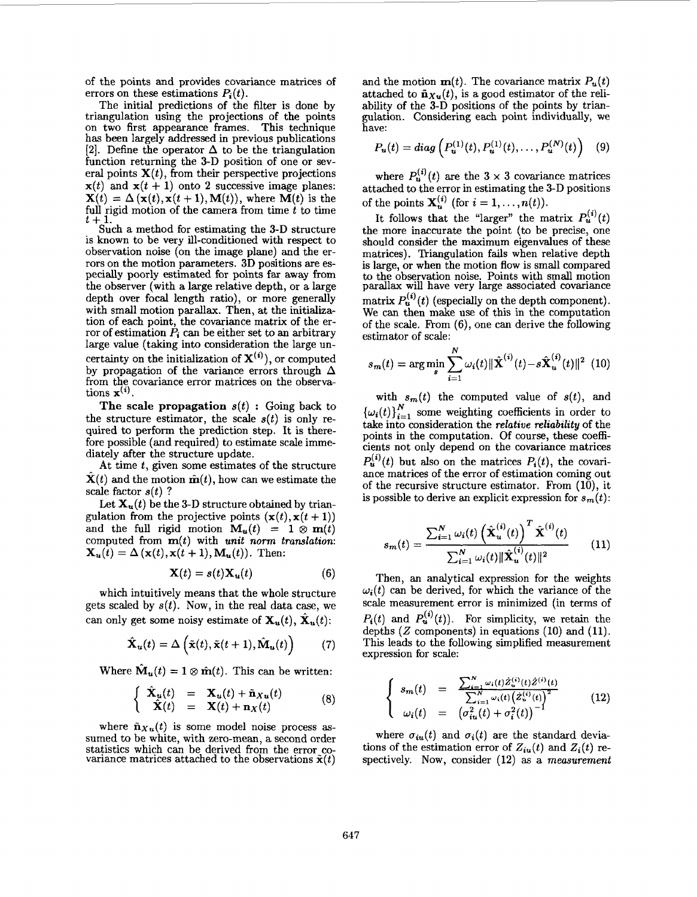of the points and provides Covariance matrices of errors on these estimations  $P_i(t)$ .

The initial predictions of the filter is done by triangulation using the projections of the points on two first appearance frames. This technique has been largely addressed in previous publications **[2].** Define the operator **A** to be the triangulation function returning the 3-D position of one or several points  $X(t)$ , from their perspective projections  $x(t)$  and  $x(t + 1)$  onto 2 successive image planes:  $X(t) = \Delta (x(t), x(t+1), M(t))$ , where  $M(t)$  is the **full** rigid motion of the camera from time *t* to time t + 1.<br>
Such a method for estimating the 3-D structure

is known to be very ill-conditioned with respect to observation noise (on the image plane) and the errors on the motion parameters. 3D positions are especially poorly estimated for points far away from the observer (with a large relative depth, or a large depth over focal length ratio), or more generally with small motion parallax. Then, at the initialization of each point, the covariance matrix of the error of estimation  $\dot{P}_i$  can be either set to an arbitrary large value (taking into consideration the large uncertainty on the initialization of  $X^{(i)}$ , or computed by propagation of the variance errors through  $\Delta$ from the covariance error matrices on the observations  $\mathbf{x}^{(i)}$ .

**The scale propagation**  $s(t)$ : Going back to the structure estimator, the scale  $s(t)$  is only required to perform the prediction step. It is therefore possible (and required) to estimate scale immediately after the structure update.

At time *t,* given some estimates of the structure  $X(t)$  and the motion  $\hat{\mathbf{m}}(t)$ , how can we estimate the scale factor *s(t)* ?

Let  $X_u(t)$  be the 3-D structure obtained by triangulation from the projective points  $(x(t), x(t+1))$ and the full rigid motion  $M_u(t) = 1 \otimes m(t)$ computed from **m(t)** with *unit* nom *translation:*   $\mathbf{X}_u(t) = \Delta(\mathbf{x}(t), \mathbf{x}(t+1), \mathbf{M}_u(t))$ . Then:

$$
\mathbf{X}(t) = s(t)\mathbf{X}_u(t) \tag{6}
$$

which intuitively means that the whole structure gets scaled by  $s(t)$ . Now, in the real data case, we can only get some noisy estimate of  $\mathbf{X}_u(t)$ ,  $\mathbf{X}_u(t)$ :

$$
\hat{\mathbf{X}}_{u}(t) = \Delta \left( \tilde{\mathbf{x}}(t), \tilde{\mathbf{x}}(t+1), \hat{\mathbf{M}}_{u}(t) \right) \tag{7}
$$

Where  $\mathbf{\tilde{M}}_u(t) = 1 \otimes \hat{\mathbf{m}}(t)$ . This can be written:

$$
\begin{cases}\n\hat{\mathbf{X}}_u(t) = \mathbf{X}_u(t) + \tilde{\mathbf{n}}_{Xu}(t) \\
\hat{\mathbf{X}}(t) = \mathbf{X}(t) + \mathbf{n}_X(t)\n\end{cases} (8)
$$

where  $\tilde{\mathbf{n}}_{Xu}(t)$  is some model noise process assumed to be white, with zero-mean, a second order statistics which can be derived from the error covariance matrices attached to the observations  $\tilde{\mathbf{x}}(t)$ 

and the motion  $\mathbf{m}(t)$ . The covariance matrix  $P_u(t)$ attached to  $\tilde{\mathbf{n}}_{Xu}(t)$ , is a good estimator of the reliability of the 3-D positions of the points by triangulation. Considering each point individually, we have:

$$
P_{u}(t) = diag\left(P_{u}^{(1)}(t), P_{u}^{(1)}(t), \ldots, P_{u}^{(N)}(t)\right) \quad (9)
$$

where  $P_u^{(1)}(t)$  are the  $3 \times 3$  covariance matrices attached to the error in estimating the 3-D positions of the points  $\mathbf{X}_{u}^{(i)}$  (for  $i = 1, \ldots, n(t)$ ).

It follows that the "larger" the matrix  $P_u^{(1)}(t)$ the more inaccurate the point (to be precise, one should consider the maximum eigenvalues of these matrices). Triangulation fails when relative depth is large, or when the motion flow is small compared to the observation noise. Points with small motion parallax will have very large associated covariance matrix  $P_{\mathbf{u}}^{(i)}(t)$  (especially on the depth component). We can then make use of this in the computation of the scale. From **(6),** one can derive the following estimator of scale:

$$
s_m(t) = \arg\min_{s} \sum_{i=1}^{N} \omega_i(t) ||\hat{\mathbf{X}}^{(i)}(t) - s\hat{\mathbf{X}}_u^{(i)}(t)||^2 \tag{10}
$$

with  $s_m(t)$  the computed value of  $s(t)$ , and  ${\{\omega_i(t)\}}_{i=1}^N$  some weighting coefficients in order to take into consideration the *relative reliability* of the points in the computation. Of course, these coefficients not only depend on the covariance matrices  $P_{u}^{(i)}(t)$  but also on the matrices  $P_{i}(t)$ , the covariance matrices of the error of estimation coming out of the recursive structure estimator. From  $(10)$ , it is possible to derive an explicit expression for  $s_m(t)$ :

$$
s_m(t) = \frac{\sum_{i=1}^{N} \omega_i(t) \left(\hat{\mathbf{X}}_u^{(i)}(t)\right)^T \hat{\mathbf{X}}^{(i)}(t)}{\sum_{i=1}^{N} \omega_i(t) \|\hat{\mathbf{X}}_u^{(i)}(t)\|^2}
$$
(11)

Then, **an** analytical expression for the weights  $\omega_i(t)$  can be derived, for which the variance of the scale measurement error is minimized (in terms of  $P_i(t)$  and  $P_i^{(i)}(t)$ . For simplicity, we retain the depths *(2* components) in equations (10) and (11). This leads to the following simplified measurement expression for scale:

$$
\begin{cases}\ns_m(t) = \frac{\sum_{i=1}^N \omega_i(t) \hat{Z}_u^{(i)}(t) \hat{Z}_u^{(i)}(t)}{\sum_{i=1}^N \omega_i(t) (\hat{Z}_u^{(i)}(t))^2} \\
\omega_i(t) = (\sigma_{iu}^2(t) + \sigma_i^2(t))^{-1}\n\end{cases}
$$
\n(12)

where  $\sigma_{iu}(t)$  and  $\sigma_i(t)$  are the standard deviations of the estimation error of  $Z_{iu}(t)$  and  $Z_i(t)$  respectively. Now, consider (12) **as** a *measurement*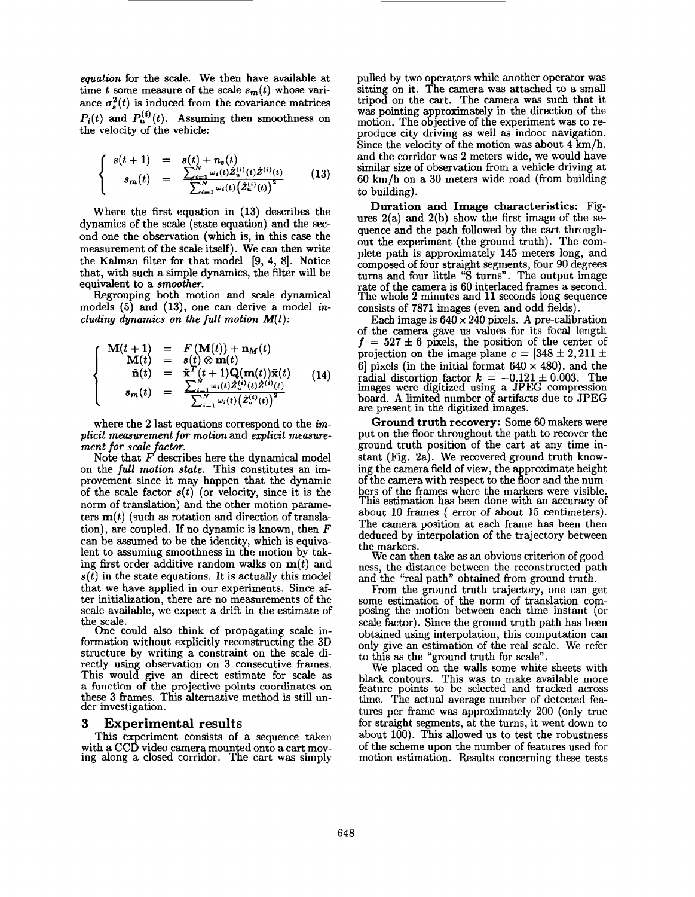*equation* for the scale. We then have available at time *t* some measure of the scale  $s_m(t)$  whose variance  $\sigma_s^2(t)$  is induced from the covariance matrices  $P_i(t)$  and  $P_i^{(i)}(t)$ . Assuming then smoothness on the velocity of the vehicle:

$$
\begin{cases}\ns(t+1) = s(t) + n_s(t) \\
s_m(t) = \frac{\sum_{i=1}^N \omega_i(t) \hat{z}_u^{(i)}(t) \hat{z}^{(i)}(t)}{\sum_{i=1}^N \omega_i(t) (\hat{z}_u^{(i)}(t))^2}\n\end{cases}
$$
\n(13)

Where the first equation in (13) describes the dynamics of the scale (state equation) and the second one the observation (which is, in this case the measurement of the scale itself). We *can* then write the Kalman filter for that model **[9,** 4, **81.** Notice that, with such a simple dynamics, the filter will be equivalent to a *smoother.* 

Regrouping both motion and scale dynamical models *(5)* and (13), one can derive a model *including dynamics on the full motion*  $M(t)$ *:* 

$$
\begin{cases}\n\mathbf{M}(t+1) &= F(\mathbf{M}(t)) + \mathbf{n}_M(t) \\
\mathbf{M}(t) &= s(t) \otimes \mathbf{m}(t) \\
\tilde{\mathbf{n}}(t) &= \tilde{\mathbf{x}}^T(t+1)\mathbf{Q}(\mathbf{m}(t))\tilde{\mathbf{x}}(t) \\
s_m(t) &= \frac{\sum_{i=1}^N \omega_i(t)\tilde{z}_u^{(i)}(t)\tilde{z}^{(i)}(t)}{\sum_{i=1}^N \omega_i(t)(\tilde{z}_u^{(i)}(t))^2}\n\end{cases}
$$
(14)

where the **2** last equations correspond to the *implicit measurement for motion* and *explicit measurement for scale factor.* 

Note that *F* describes here the dynamical model on the *full motion state.* This constitutes an improvement since it may happen that the dynamic of the scale factor *s(t)* (or velocity, since it is the norm of translation) and the other motion parameters  $\mathbf{m}(t)$  (such as rotation and direction of translation), are coupled. If no dynamic is known, then *F*  can be assumed to be the identity, which is equivalent to assuming smoothness in the motion by taking first order additive random walks on *m(t)* and  $s(t)$  in the state equations. It is actually this model that we have applied in our experiments. Since **af**ter initialization, there are no measurements of the scale available, we expect a drift in the estimate of the scale.

One could also think of propagating scale information without explicitly reconstructing the 3D structure by writing a constraint on the scale directly using observation on 3 consecutive frames. This would give an direct estimate for scale **as**  a function of the projective points coordinates on these 3 frames. This alternative method is still under investigation.

### **3 Experimental results**

This experiment consists of a sequence taken with a CCD video camera mounted onto a cart moving along a closed corridor. The cart was simply pulled by two operators while another operator was sitting on it. The camera was attached to a small tripod on the cart. The camera was such that it was pointing approximately in the direction of the motion. The objective of the experiment was to **re**produce city driving **as** we11 **as** indoor navigation. Since the velocity of the motion was about  $4 \text{ km/h}$ , and the corridor was **2** meters wide, we would have similar size of observation from a vehicle driving at 60 km/h on a 30 meters wide road (from building to building).

*Duration* **and** *Image characteristics:* Figures 2(a) and 2(b) show the first image of the *se*quence and the path followed by the cart throughout the experiment (the ground truth). The complete path is approximately 145 meters long, and composed of four straight segments, four 90 degrees turns and four little "S turns". The output image rate of the camera is 60 interlaced frames a second. The whole 2 minutes and 11 seconds long sequence consists of 7871 images (even and odd fields).

Each image is  $640 \times 240$  pixels. A pre-calibration of the camera gave us values for its focal length  $f = 527 \pm 6$  pixels, the position of the center of projection on the image plane  $c = [348 \pm 2, 211 \pm$ **6 pixels** (in the initial format  $640 \times 480$ ), and the radial distortion factor  $k = -0.121 \pm 0.003$ . The images were digitized using a JPEG compression board. **A** limited number of artifacts due to JPEG are present in the digitized images.

*Ground truth recovery:* Some 60 makers were put on the floor throughout the path to recover the ground truth position of the cart at any time instant (Fig. 2a). We recovered ground truth knowing the camera field of view, the approximate height of the camera with respect to the floor and the numbers of the frames where the markers were visible. This estimation has been done with an accuracy of about 10 frames ( error of about 15 centimeters). The camera position at each frame has been then deduced by interpolation of the trajectory between the markers.

We can then take **as** an obvious criterion of goodness, the distance between the reconstructed path and the "real path" obtained from ground truth.

From the ground truth trajectory, one can get some estimation of the norm of translation composing the motion between each time instant (or scale factor). Since the ground truth path has been obtained using interpolation, this computation can only give an estimation of the real scale. We refer to this **as** the "ground truth for scale".

We placed on the walls some white sheets with black contours. This was to make available more feature points to be selected and tracked across time. The actual average number of detected features per frame was approximately 200 (only true for straight segments, at the turns, it went down to about 100). This allowed us to test the robustness of the scheme upon the number of features used for motion estimation. Results concerning these tests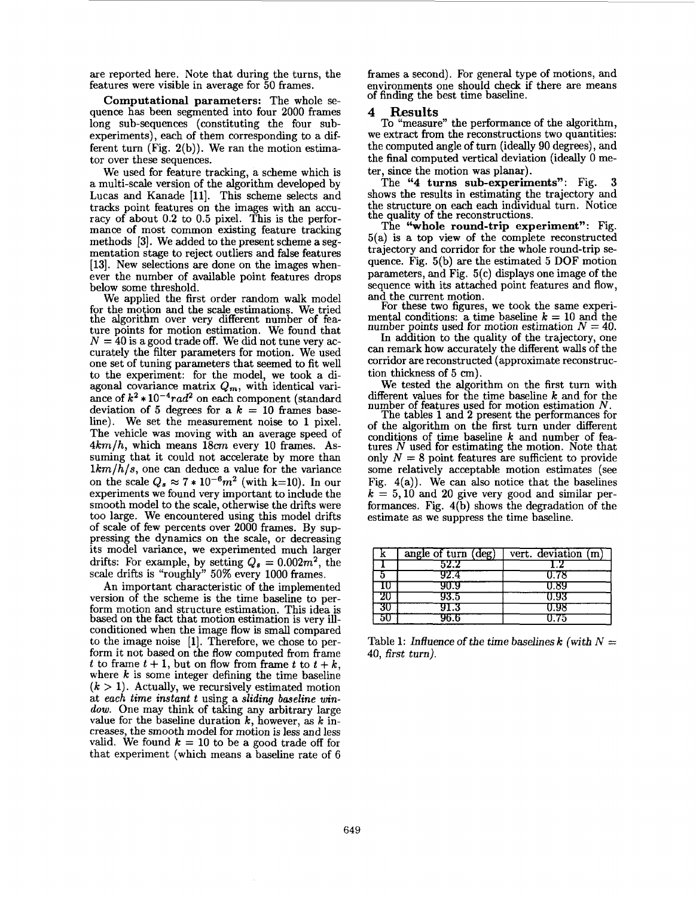are reported here. Note that during the turns, the features were visible in average for 50 frames.

**Computational parameters:** The whole *se*quence has been segmented into four 2000 frames long sub-sequences (constituting the four subexperiments), each of them corresponding to a different turn **(Fig.** 2(b)). We ran the motion estimator over these sequences.

We used for feature tracking, a scheme which is a multi-scale version of the algorithm developed by Lucas and Kanade [ll]. This scheme selects and tracks point features on the images with an accuracy of about 0.2 to 0.5 pixel. This is the performance of most common existing feature tracking methods 13). We added to the present scheme a segmentation stage to reject outliers and false features [13]. New selections are done on the images whenever the number of available point features drops below some threshold.

We applied the first order random walk model for the motion and the scale estimations. We tried the algorithm over very different number of feature points for motion estimation. We found that  $N = 40$  is a good trade off. We did not tune very accurately the filter parameters for motion. We used one set of tuning parameters that seemed to fit well to the experiment: for the model, we took a diagonal covariance matrix  $Q_m$ , with identical variance of  $k^2 * 10^{-4} rad^2$  on each component (standard deviation of 5 degrees for a  $k = 10$  frames baseline). We set the measurement noise to 1 pixel. The vehicle was moving with an average speed of  $4km/h$ , which means  $18cm$  every 10 frames. Assuming that it could not accelerate by more than  $1km/h/s$ , one can deduce a value for the variance on the scale  $Q_s \approx 7 * 10^{-6} m^2$  (with k=10). In our experiments we found very important to include the smooth model to the scale, otherwise the drifts were too large. We encountered using this model drifts of scale of few percents over 2000 frames. By suppressing the dynamics on the scale, or decreasing its model variance, we experimented much larger drifts: For example, by setting  $Q_s = 0.002m^2$ , the scale drifts is "roughly" 50% every 1000 frames.

An important characteristic of the implemented version of the scheme is the time baseline to perform motion and structure estimation. This idea is based on the fact that motion estimation is very illconditioned when the image flow is small compared to the image noise [l]. Therefore, we chose to perform it not based on the flow computed from frame *t* to frame  $t + 1$ , but on flow from frame  $t$  to  $t + k$ , where *k* is some integer defining the time baseline  $(k > 1)$ . Actually, we recursively estimated motion at *each time instant t* using a *sliding baseline* win*dow.* One may think of taking any arbitrary large value for the baseline duration *k,* however, **as** *k* increases, the smooth model for motion is less and less valid. We found  $k = 10$  to be a good trade off for that experiment (which means a baseline rate of *6* 

frames a second). For general type of motions, and environments one should check if there are means of finding the best time baseline.

## **4 Results**

To "measure" the performance of the algorithm, we extract from the reconstructions two quantities: the computed angle of turn (ideally 90 degrees), and the final computed vertical deviation (ideally 0 meter, since the motion was planar).

The **"4 turns sub-experiments":** Fig. 3 shows the results in estimating the trajectory and the structure on each each individual turn. Notice the quality of the reconstructions.

The **"whole round-trip experiment":** Fig. 5(a) is a top view of the complete reconstructed trajectory and corridor for the whole round-trip *se*quence. Fig. 5(b) are the estimated 5 DOF motion parameters, and Fig. 5(c) displays one image of the sequence with its attached point features and flow, and the current motion.

For these two figures, we took the same experimental conditions: a time baseline  $k = 10$  and the number points used for motion estimation  $N = 40$ .

In addition to the quality of the trajectory, one can remark how accurately the different walls of the corridor are reconstructed (approximate reconstruction thickness of 5 *cm).* 

We tested the algorithm on the first turn with different values for the time baseline *k* and for the number of features used for motion estimation *N.* 

The tables 1 and 2 present the performances for of the algorithm on the first turn under different conditions of time baseline *k* and number of features *N* used for estimating the motion. Note that only  $N = 8$  point features are sufficient to provide some relatively acceptable motion estimates (see Fig.  $4(a)$ ). We can also notice that the baselines  $k = 5,10$  and 20 give very good and similar performances. Fig. 4(b) shows the degradation of the estimate **as** we suppress the time baseline.

|    | angle of turn (deg) | vert. deviation (m) |
|----|---------------------|---------------------|
|    | 52.2                | L Z                 |
|    | 92.4                | 0.78                |
| แ  | 90.9                | U.89                |
| 20 | 93.5                | U.93                |
| 30 | 91.3                | U.98                |
| эU | 96.6                | 0.75                |

Table 1: Influence of the time baselines  $k$  (with  $N =$ 40, first turn).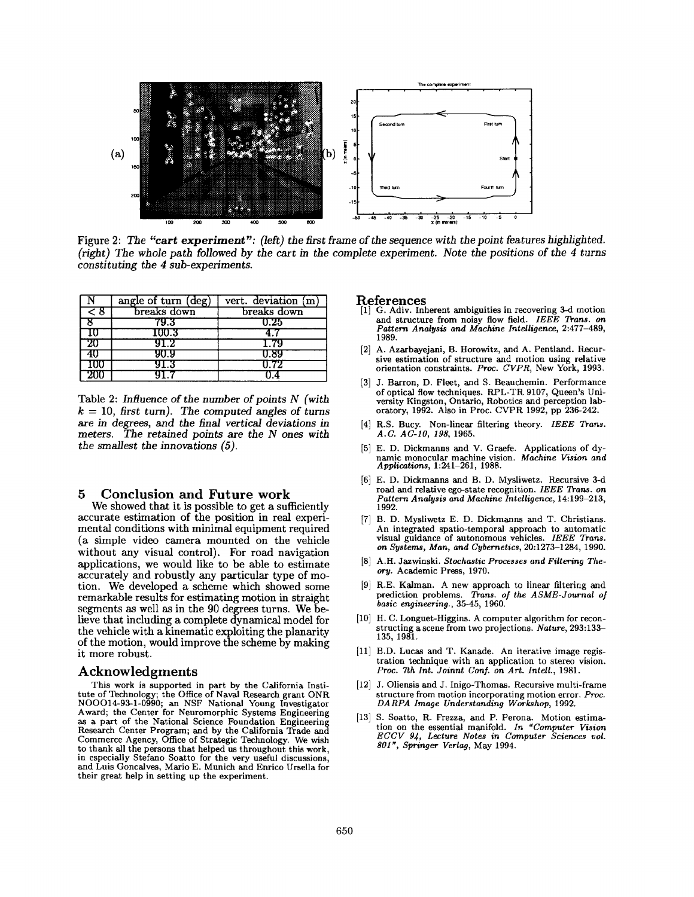

Figure 2: The "cart experiment": (left) the first frame of the sequence with the point features highlighted. (right) The whole path followed *by* the cart in the complete experiment. Note the positions of the *4* turns constituting the *4* sub-experiments.

|        | angle of turn (deg) | vert. deviation (m) |
|--------|---------------------|---------------------|
| ਟ 8    | breaks down         | breaks down         |
|        | 79.3                | 0.25                |
| w      | $100.3\,$           |                     |
| 20     | 91.2                | 1.79                |
| 40     | 90.9                | U.89                |
| ΙW     | 91.3                | U 72                |
| •'টা চ |                     |                     |

Table 2: Influence of the number of points *N* (with  $k = 10$ , first turn). The computed angles of turns are in degrees, and the final vertical deviations in meters. The retained points are the *N* ones with the smallest the innovations *(5).* 

## **5 Conclusion and Future work**

We showed that it is possible to get a sufficiently accurate estimation of the position in real experimental conditions with minimal equipment required (a simple video camera mounted on the vehicle without any visual control). For **road** navigation applications, we would like to be able to estimate accurately and robustly any particular type of motion. We developed a scheme which showed some remarkable results for estimating motion in straight segments **as** well **as** in the 90 degrees turns. We believe that including a complete dynamical model for the vehicle with a kinematic exploiting the planarity of the motion, would improve the scheme by making it more robust.

### **Acknowledgments**

This work is supported in part by the California Institute of Technology; the Office of Naval Research grant ONR **N00014-93-1-0990;** an NSF National Young Investigator Award; the Center for Neuromorphic Systems Engineering **as** a part of the National Science Foundation Engineering Research Center Program; and by the California Trade and Commerce Agency, Office of Strategic Technology. We wish to thank all the persons that helped **us** throughout this work, in especially Stefano Soatto for the very useful discussions, and Luis Goncalves, Mario E. Munich and Enrico Ursella for their great help in setting up the experiment.

#### **References**

- G. Adiv. Inherent ambiguities in recovering 3-d motion and structure from noisy flow field. *IEEE Trans. on* Pattern Analysis and Machine Intelligence, 2:477-489, **1989.**
- A. Azarbayejani, B. Horowitz, and A. Pentland. Recursive estimation of structure and motion using relative orientation constraints. **Proc. CVPR,** New York, **1993.**
- J. Barron, D. Fleet, and S. Beauchemin. Performance of optical **flow** techniques. RPL-TR **9107,** Queen's University Kingston, Ontario, Robotics and perception laboratory, **1992.** Also in Proc. CVPR **1992,** pp **236-242.**
- [4] R.S. Bucy. Non-linear filtering theory. **IEEE Trans. A.C. AC-IO,** *198,* **1965.**
- E. D. Dickmanns and V. Graefe. Applications of dynamic monocular machine vision. **Machine Vision and Applications, 1:241-261, 1988.**
- E. D. Dickmanns and B. D. Mysliwetz. Recursive 3-d road and relative ego-state recognition. **IEEE Trans. on Pattern Analysis and Machine Intelligence**, 14:199-213, **1992.**
- [7] B. D. Mysliwetz E. D. Dickmanns and T. Christians. An integrated spatio-temporal approach to automatic visual guidance of autonomous vehicles. IEEE Trans. on Systems, Man, and Cybernetics, 20:1273-1284, 1990.
- A.H. Jazwinski. **Stochastic Processes and Filtering Theory.** Academic Press, **1970.**
- R.E. Kalman. **A** new approach to linear filtering and prediction problems. Trans. of the ASME-Journal of **basic engineering., 35-45, 1960.**
- [10] H. C. Longuet-Higgins. A computer algorithm for reconbasic engineering., 35-45, 1960.<br>
H. C. Longuet-Higgins. A computer algorithm for reconstructing a scene from two projections. *Nature*, 293:133-<br>
135, 1981.
- B.D. Lucas and T. Kanade. **An** iterative image registration technique with an application to stereo vision. Proc. 7th Int. Joinnt Conf. on Art. Intell., 1981.
- [12] J. Oliensis and J. Inigo-Thomas. Recursive multi-frame structure from motion incorporating motion error. **Proc. DARPA Image Understanding Workshop, 1992.**
- [13] S. Soatto, R. Frezza, and P. Perona. Motion estimation on the essential manifold. **In "Computer Vision ECCV 94, Lecture Notes in Computer Sciences** *vol.*  **<sup>801</sup>**", **Springer Verlug,** May **1994.**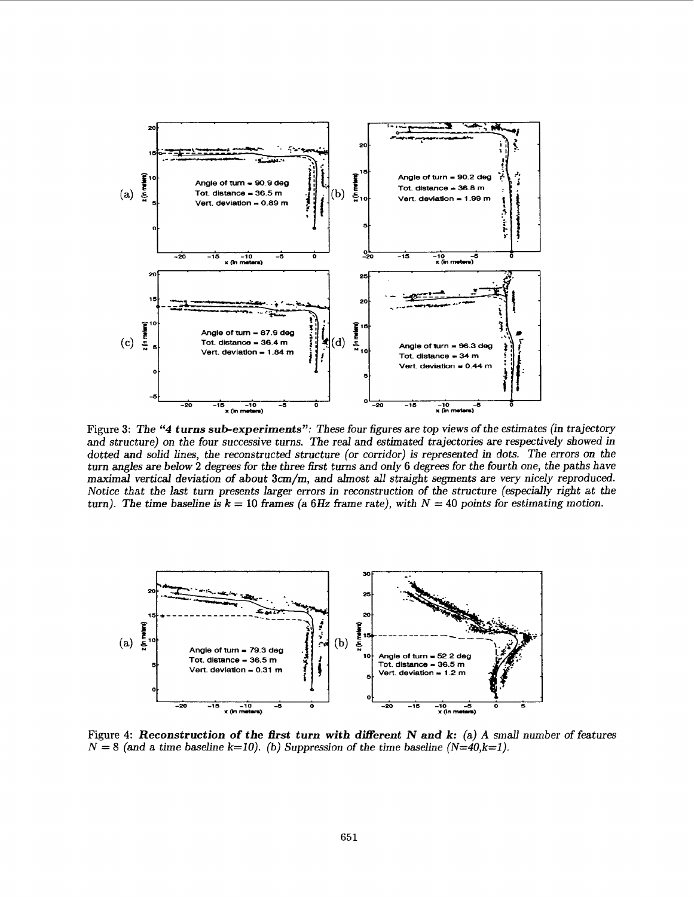

Figure *3:* The *"4 turns sub-experiments":* These four figures are top views of the estimates (in trajectory and structure) on the four successive turns. The real and estimated trajectories are respectively showed in dotted and solid lines, the reconstructed structure (or corridor) is represented in dots. The errors on the turn angles are below **2** degrees for the three fist turns and only **6** degrees for the fourth one, the paths have maximal vertical deviation of about **3cm/m,** and almost all straight segments are very nicely reproduced. Notice that the last turn presents larger errors in reconstruction of the structure (especially right at the turn). The time baseline is  $k = 10$  frames (a 6Hz frame rate), with  $N = 40$  points for estimating motion.



**Figure 4:** *Reconstruction* **of** *the first turn with different N and k:* (a) *A smd* number of features  $N = 8$  (and a time baseline  $k=10$ ). (b) Suppression of the time baseline  $(N=40, k=1)$ .